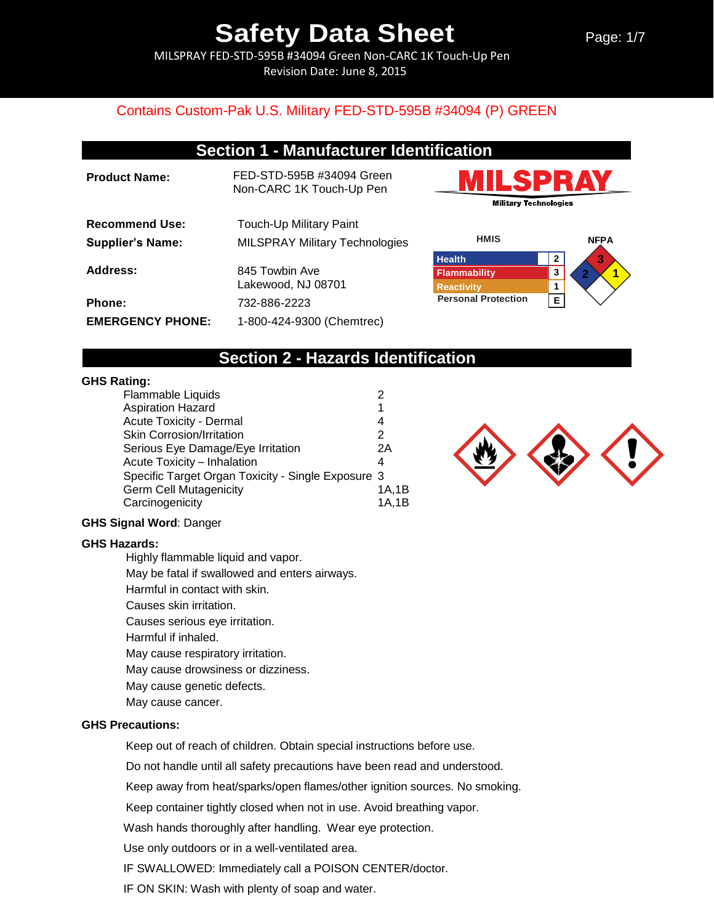Page: 1/7

MILSPRAY FED-STD-595B #34094 Green Non-CARC 1K Touch-Up Pen Revision Date: June 8, 2015

### Contains Custom-Pak U.S. Military FED-STD-595B #34094 (P) GREEN

## **Section 1 - Manufacturer Identification**

| <b>Product Name:</b>    | FED-STD-595B #34094 Green<br>Non-CARC 1K Touch-Up Pen |
|-------------------------|-------------------------------------------------------|
| <b>Recommend Use:</b>   | Touch-Up Military Paint                               |
| <b>Supplier's Name:</b> | <b>MILSPRAY Military Technologies</b>                 |
| Address:                | 845 Towbin Ave<br>Lakewood, NJ 08701                  |
| <b>Phone:</b>           | 732-886-2223                                          |
| <b>EMERGENCY PHONE:</b> | 1-800-424-9300 (Chemtrec)                             |





## **Section 2 - Hazards Identification**

#### **GHS Rating:**

| 1                                                  |
|----------------------------------------------------|
| 4                                                  |
| 2                                                  |
| 2A                                                 |
| 4                                                  |
| Specific Target Organ Toxicity - Single Exposure 3 |
| 1A,1B                                              |
| 1A,1B                                              |
|                                                    |

#### **GHS Signal Word**: Danger

#### **GHS Hazards:**

Highly flammable liquid and vapor.

May be fatal if swallowed and enters airways.

Harmful in contact with skin.

Causes skin irritation.

Causes serious eye irritation.

Harmful if inhaled.

May cause respiratory irritation.

May cause drowsiness or dizziness.

May cause genetic defects.

May cause cancer.

### **GHS Precautions:**

Keep out of reach of children. Obtain special instructions before use.

Do not handle until all safety precautions have been read and understood.

Keep away from heat/sparks/open flames/other ignition sources. No smoking.

Keep container tightly closed when not in use. Avoid breathing vapor.

Wash hands thoroughly after handling. Wear eye protection.

Use only outdoors or in a well-ventilated area.

IF SWALLOWED: Immediately call a POISON CENTER/doctor.

IF ON SKIN: Wash with plenty of soap and water.

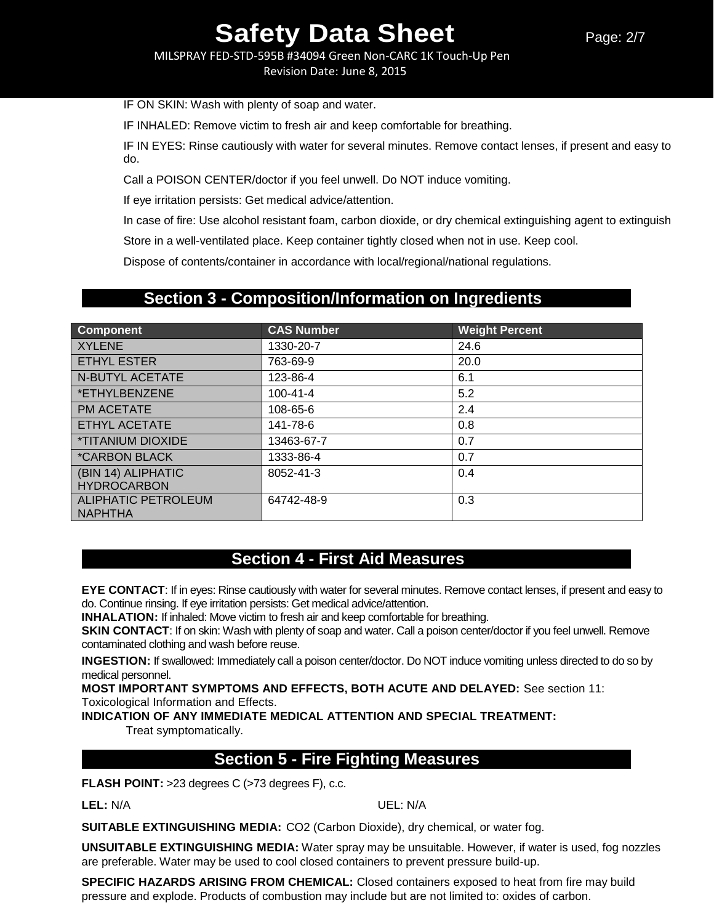MILSPRAY FED-STD-595B #34094 Green Non-CARC 1K Touch-Up Pen

Revision Date: June 8, 2015

IF ON SKIN: Wash with plenty of soap and water.

IF INHALED: Remove victim to fresh air and keep comfortable for breathing.

IF IN EYES: Rinse cautiously with water for several minutes. Remove contact lenses, if present and easy to do.

Call a POISON CENTER/doctor if you feel unwell. Do NOT induce vomiting.

If eye irritation persists: Get medical advice/attention.

In case of fire: Use alcohol resistant foam, carbon dioxide, or dry chemical extinguishing agent to extinguish

Store in a well-ventilated place. Keep container tightly closed when not in use. Keep cool.

Dispose of contents/container in accordance with local/regional/national regulations.

## **Section 3 - Composition/Information on Ingredients**

| <b>Component</b>                             | <b>CAS Number</b> | <b>Weight Percent</b> |
|----------------------------------------------|-------------------|-----------------------|
| <b>XYLENE</b>                                | 1330-20-7         | 24.6                  |
| <b>ETHYL ESTER</b>                           | 763-69-9          | 20.0                  |
| <b>N-BUTYL ACETATE</b>                       | 123-86-4          | 6.1                   |
| *ETHYLBENZENE                                | $100 - 41 - 4$    | 5.2                   |
| <b>PM ACETATE</b>                            | 108-65-6          | 2.4                   |
| <b>ETHYL ACETATE</b>                         | 141-78-6          | 0.8                   |
| <i><b>*TITANIUM DIOXIDE</b></i>              | 13463-67-7        | 0.7                   |
| <i><b>*CARBON BLACK</b></i>                  | 1333-86-4         | 0.7                   |
| (BIN 14) ALIPHATIC<br><b>HYDROCARBON</b>     | 8052-41-3         | 0.4                   |
| <b>ALIPHATIC PETROLEUM</b><br><b>NAPHTHA</b> | 64742-48-9        | 0.3                   |

## **Section 4 - First Aid Measures**

**EYE CONTACT**: If in eyes: Rinse cautiously with water for several minutes. Remove contact lenses, if present and easy to do. Continue rinsing. If eye irritation persists: Get medical advice/attention.

**INHALATION:** If inhaled: Move victim to fresh air and keep comfortable for breathing.

**SKIN CONTACT:** If on skin: Wash with plenty of soap and water. Call a poison center/doctor if you feel unwell. Remove contaminated clothing and wash before reuse.

**INGESTION:** If swallowed: Immediately call a poison center/doctor. Do NOT induce vomiting unless directed to do so by medical personnel.

**MOST IMPORTANT SYMPTOMS AND EFFECTS, BOTH ACUTE AND DELAYED:** See section 11: Toxicological Information and Effects.

**INDICATION OF ANY IMMEDIATE MEDICAL ATTENTION AND SPECIAL TREATMENT:**

Treat symptomatically.

## **Section 5 - Fire Fighting Measures**

**FLASH POINT:** >23 degrees C (>73 degrees F), c.c.

**LEL:** N/A UEL: N/A

**SUITABLE EXTINGUISHING MEDIA:** CO2 (Carbon Dioxide), dry chemical, or water fog.

**UNSUITABLE EXTINGUISHING MEDIA:** Water spray may be unsuitable. However, if water is used, fog nozzles are preferable. Water may be used to cool closed containers to prevent pressure build-up.

**SPECIFIC HAZARDS ARISING FROM CHEMICAL:** Closed containers exposed to heat from fire may build pressure and explode. Products of combustion may include but are not limited to: oxides of carbon.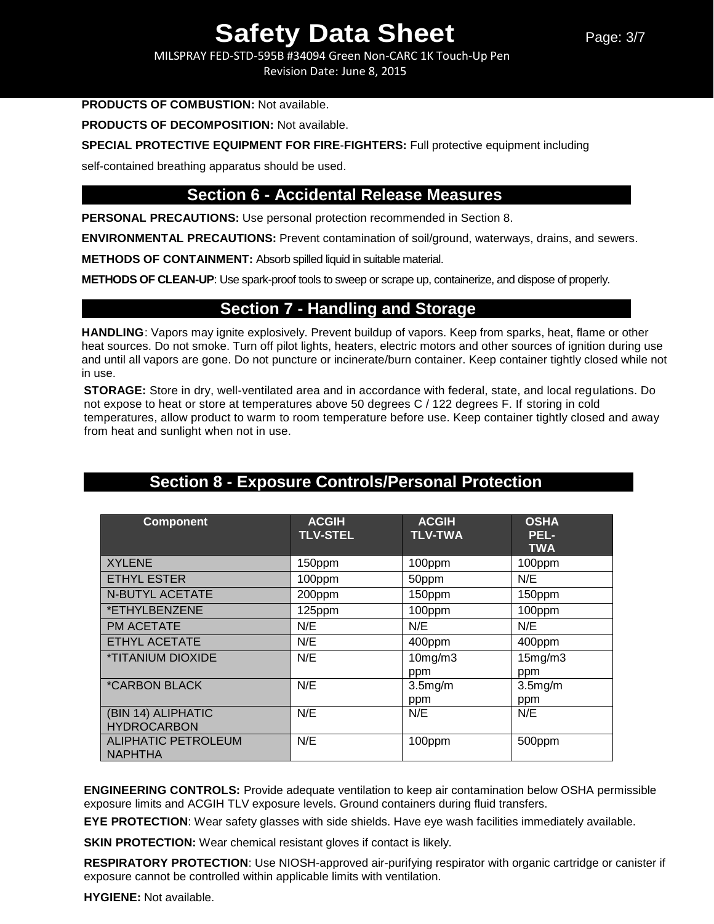MILSPRAY FED-STD-595B #34094 Green Non-CARC 1K Touch-Up Pen Revision Date: June 8, 2015

#### **PRODUCTS OF COMBUSTION:** Not available.

**PRODUCTS OF DECOMPOSITION:** Not available.

**SPECIAL PROTECTIVE EQUIPMENT FOR FIRE**-**FIGHTERS:** Full protective equipment including

self-contained breathing apparatus should be used.

## **Section 6 - Accidental Release Measures**

**PERSONAL PRECAUTIONS:** Use personal protection recommended in Section 8.

**ENVIRONMENTAL PRECAUTIONS:** Prevent contamination of soil/ground, waterways, drains, and sewers.

**METHODS OF CONTAINMENT:** Absorb spilled liquid in suitable material.

**METHODS OF CLEAN-UP**: Use spark-proof tools to sweep or scrape up, containerize, and dispose of properly.

### **Section 7 - Handling and Storage**

**HANDLING**: Vapors may ignite explosively. Prevent buildup of vapors. Keep from sparks, heat, flame or other heat sources. Do not smoke. Turn off pilot lights, heaters, electric motors and other sources of ignition during use and until all vapors are gone. Do not puncture or incinerate/burn container. Keep container tightly closed while not in use.

**STORAGE:** Store in dry, well-ventilated area and in accordance with federal, state, and local regulations. Do not expose to heat or store at temperatures above 50 degrees C / 122 degrees F. If storing in cold temperatures, allow product to warm to room temperature before use. Keep container tightly closed and away from heat and sunlight when not in use.

| <b>Component</b>                             | <b>ACGIH</b><br><b>TLV-STEL</b> | <b>ACGIH</b><br><b>TLV-TWA</b> | <b>OSHA</b><br>PEL-<br><b>TWA</b> |
|----------------------------------------------|---------------------------------|--------------------------------|-----------------------------------|
| <b>XYLENE</b>                                | 150ppm                          | 100ppm                         | 100ppm                            |
| <b>ETHYL ESTER</b>                           | 100ppm                          | 50ppm                          | N/E                               |
| <b>N-BUTYL ACETATE</b>                       | 200ppm                          | 150ppm                         | 150ppm                            |
| *ETHYLBENZENE                                | 125ppm                          | 100ppm                         | 100ppm                            |
| <b>PM ACETATE</b>                            | N/E                             | N/E                            | N/E                               |
| <b>ETHYL ACETATE</b>                         | N/E                             | 400ppm                         | 400ppm                            |
| <i><b>*TITANIUM DIOXIDE</b></i>              | N/E                             | 10mg/m3<br>ppm                 | 15mg/m3<br>ppm                    |
| <i><b>*CARBON BLACK</b></i>                  | N/E                             | 3.5mg/m<br>ppm                 | 3.5mg/m<br>ppm                    |
| (BIN 14) ALIPHATIC<br><b>HYDROCARBON</b>     | N/E                             | N/E                            | N/E                               |
| <b>ALIPHATIC PETROLEUM</b><br><b>NAPHTHA</b> | N/E                             | 100ppm                         | 500ppm                            |

## **Section 8 - Exposure Controls/Personal Protection**

**ENGINEERING CONTROLS:** Provide adequate ventilation to keep air contamination below OSHA permissible exposure limits and ACGIH TLV exposure levels. Ground containers during fluid transfers.

**EYE PROTECTION**: Wear safety glasses with side shields. Have eye wash facilities immediately available.

**SKIN PROTECTION:** Wear chemical resistant gloves if contact is likely.

**RESPIRATORY PROTECTION**: Use NIOSH-approved air-purifying respirator with organic cartridge or canister if exposure cannot be controlled within applicable limits with ventilation.

**HYGIENE:** Not available.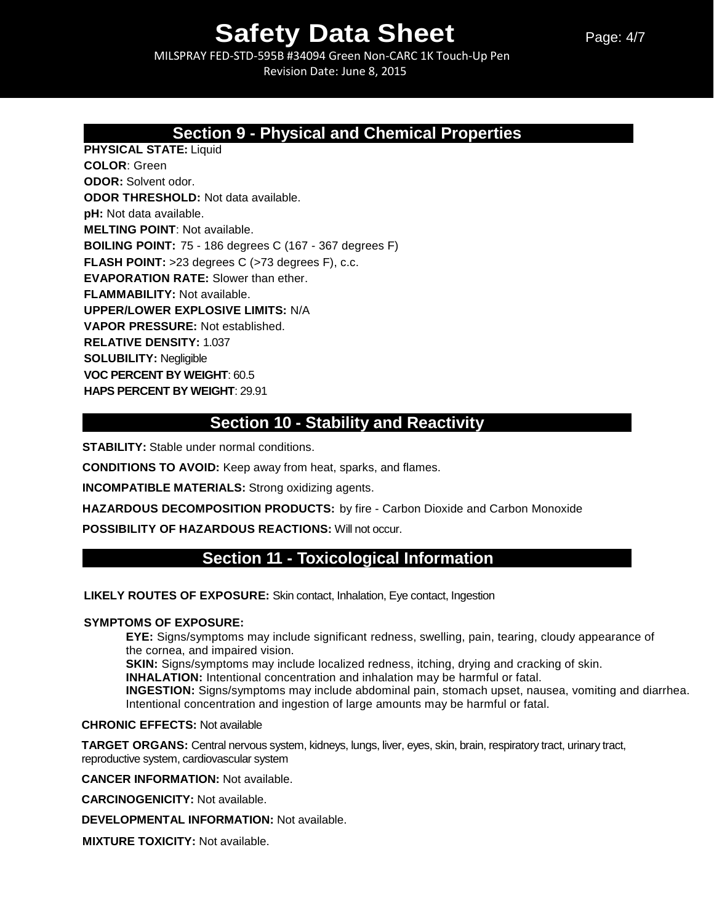MILSPRAY FED-STD-595B #34094 Green Non-CARC 1K Touch-Up Pen Revision Date: June 8, 2015

## **Section 9 - Physical and Chemical Properties**

**PHYSICAL STATE:** Liquid **COLOR**: Green **ODOR:** Solvent odor. **ODOR THRESHOLD:** Not data available. **pH:** Not data available. **MELTING POINT**: Not available. **BOILING POINT:** 75 - 186 degrees C (167 - 367 degrees F) **FLASH POINT:** >23 degrees C (>73 degrees F), c.c. **EVAPORATION RATE:** Slower than ether. **FLAMMABILITY:** Not available. **UPPER/LOWER EXPLOSIVE LIMITS:** N/A **VAPOR PRESSURE:** Not established. **RELATIVE DENSITY:** 1.037 **SOLUBILITY:** Negligible **VOC PERCENT BY WEIGHT**: 60.5 **HAPS PERCENT BY WEIGHT**: 29.91

## **Section 10 - Stability and Reactivity**

**STABILITY:** Stable under normal conditions.

**CONDITIONS TO AVOID:** Keep away from heat, sparks, and flames.

**INCOMPATIBLE MATERIALS:** Strong oxidizing agents.

**HAZARDOUS DECOMPOSITION PRODUCTS:** by fire - Carbon Dioxide and Carbon Monoxide

**POSSIBILITY OF HAZARDOUS REACTIONS:** Will not occur.

## **Section 11 - Toxicological Information**

**LIKELY ROUTES OF EXPOSURE:** Skin contact, Inhalation, Eye contact, Ingestion

### **SYMPTOMS OF EXPOSURE:**

**EYE:** Signs/symptoms may include significant redness, swelling, pain, tearing, cloudy appearance of the cornea, and impaired vision.

**SKIN:** Signs/symptoms may include localized redness, itching, drying and cracking of skin.

**INHALATION:** Intentional concentration and inhalation may be harmful or fatal.

**INGESTION:** Signs/symptoms may include abdominal pain, stomach upset, nausea, vomiting and diarrhea. Intentional concentration and ingestion of large amounts may be harmful or fatal.

### **CHRONIC EFFECTS:** Not available

**TARGET ORGANS:** Central nervous system, kidneys, lungs, liver, eyes, skin, brain, respiratory tract, urinary tract, reproductive system, cardiovascular system

**CANCER INFORMATION:** Not available.

**CARCINOGENICITY:** Not available.

**DEVELOPMENTAL INFORMATION:** Not available.

**MIXTURE TOXICITY:** Not available.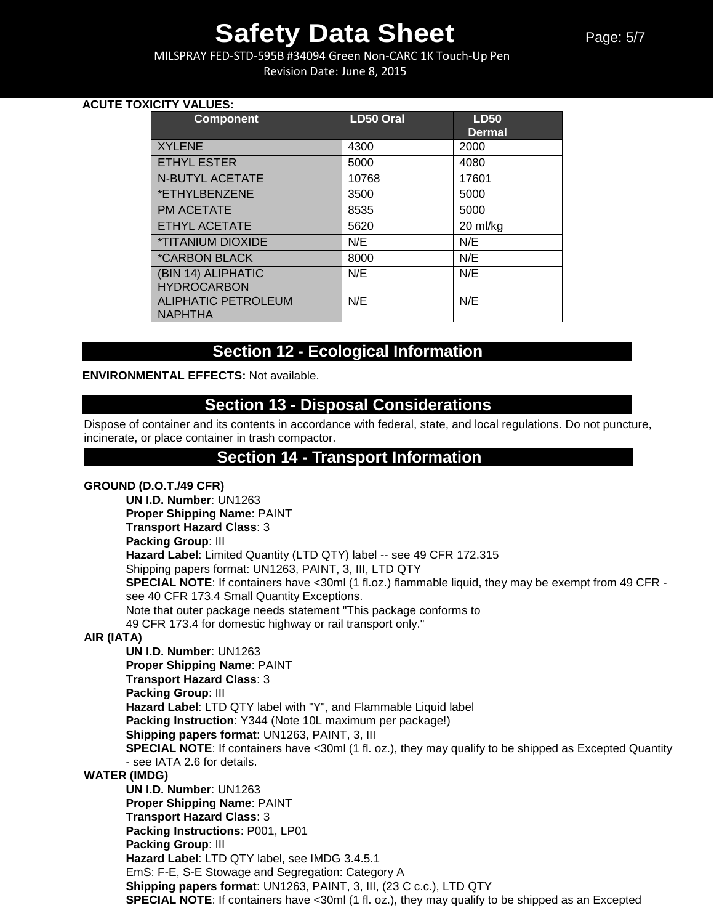MILSPRAY FED-STD-595B #34094 Green Non-CARC 1K Touch-Up Pen Revision Date: June 8, 2015

### **ACUTE TOXICITY VALUES:**

| <b>Component</b>                | <b>LD50 Oral</b> | <b>LD50</b><br><b>Dermal</b> |
|---------------------------------|------------------|------------------------------|
| <b>XYLENE</b>                   | 4300             | 2000                         |
| <b>ETHYL ESTER</b>              | 5000             | 4080                         |
| <b>N-BUTYL ACETATE</b>          | 10768            | 17601                        |
| *ETHYLBENZENE                   | 3500             | 5000                         |
| <b>PM ACETATE</b>               | 8535             | 5000                         |
| <b>ETHYL ACETATE</b>            | 5620             | 20 ml/kg                     |
| <i><b>*TITANIUM DIOXIDE</b></i> | N/E              | N/E                          |
| <i><b>*CARBON BLACK</b></i>     | 8000             | N/E                          |
| (BIN 14) ALIPHATIC              | N/E              | N/E                          |
| <b>HYDROCARBON</b>              |                  |                              |
| ALIPHATIC PETROLEUM             | N/E              | N/E                          |
| <b>NAPHTHA</b>                  |                  |                              |

## **Section 12 - Ecological Information**

#### **ENVIRONMENTAL EFFECTS:** Not available.

## **Section 13 - Disposal Considerations**

Dispose of container and its contents in accordance with federal, state, and local regulations. Do not puncture, incinerate, or place container in trash compactor.

### **Section 14 - Transport Information**

### **GROUND (D.O.T./49 CFR)**

**UN I.D. Number**: UN1263 **Proper Shipping Name**: PAINT **Transport Hazard Class**: 3 **Packing Group**: III **Hazard Label**: Limited Quantity (LTD QTY) label -- see 49 CFR 172.315 Shipping papers format: UN1263, PAINT, 3, III, LTD QTY **SPECIAL NOTE**: If containers have <30ml (1 fl.oz.) flammable liquid, they may be exempt from 49 CFR see 40 CFR 173.4 Small Quantity Exceptions. Note that outer package needs statement "This package conforms to 49 CFR 173.4 for domestic highway or rail transport only." **AIR (IATA) UN I.D. Number**: UN1263 **Proper Shipping Name**: PAINT **Transport Hazard Class**: 3 **Packing Group**: III **Hazard Label**: LTD QTY label with "Y", and Flammable Liquid label **Packing Instruction**: Y344 (Note 10L maximum per package!) **Shipping papers format**: UN1263, PAINT, 3, III **SPECIAL NOTE:** If containers have <30ml (1 fl. oz.), they may qualify to be shipped as Excepted Quantity - see IATA 2.6 for details. **WATER (IMDG) UN I.D. Number**: UN1263 **Proper Shipping Name**: PAINT **Transport Hazard Class**: 3 **Packing Instructions**: P001, LP01 **Packing Group**: III **Hazard Label**: LTD QTY label, see IMDG 3.4.5.1 EmS: F-E, S-E Stowage and Segregation: Category A **Shipping papers format**: UN1263, PAINT, 3, III, (23 C c.c.), LTD QTY **SPECIAL NOTE:** If containers have <30ml (1 fl. oz.), they may qualify to be shipped as an Excepted